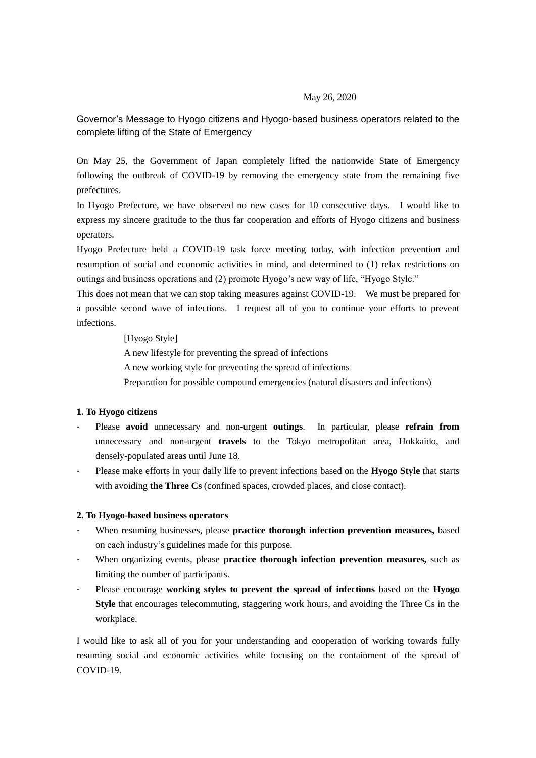#### May 26, 2020

# Governor's Message to Hyogo citizens and Hyogo-based business operators related to the complete lifting of the State of Emergency

On May 25, the Government of Japan completely lifted the nationwide State of Emergency following the outbreak of COVID-19 by removing the emergency state from the remaining five prefectures.

In Hyogo Prefecture, we have observed no new cases for 10 consecutive days. I would like to express my sincere gratitude to the thus far cooperation and efforts of Hyogo citizens and business operators.

Hyogo Prefecture held a COVID-19 task force meeting today, with infection prevention and resumption of social and economic activities in mind, and determined to (1) relax restrictions on outings and business operations and (2) promote Hyogo's new way of life, "Hyogo Style."

This does not mean that we can stop taking measures against COVID-19. We must be prepared for a possible second wave of infections. I request all of you to continue your efforts to prevent infections.

[Hyogo Style]

A new lifestyle for preventing the spread of infections A new working style for preventing the spread of infections Preparation for possible compound emergencies (natural disasters and infections)

#### **1. To Hyogo citizens**

- Please **avoid** unnecessary and non-urgent **outings**. In particular, please **refrain from**  unnecessary and non-urgent **travels** to the Tokyo metropolitan area, Hokkaido, and densely-populated areas until June 18.
- Please make efforts in your daily life to prevent infections based on the **Hyogo Style** that starts with avoiding **the Three Cs** (confined spaces, crowded places, and close contact).

#### **2. To Hyogo-based business operators**

- When resuming businesses, please **practice thorough infection prevention measures,** based on each industry's guidelines made for this purpose.
- When organizing events, please **practice thorough infection prevention measures,** such as limiting the number of participants.
- Please encourage **working styles to prevent the spread of infections** based on the **Hyogo Style** that encourages telecommuting, staggering work hours, and avoiding the Three Cs in the workplace.

I would like to ask all of you for your understanding and cooperation of working towards fully resuming social and economic activities while focusing on the containment of the spread of COVID-19.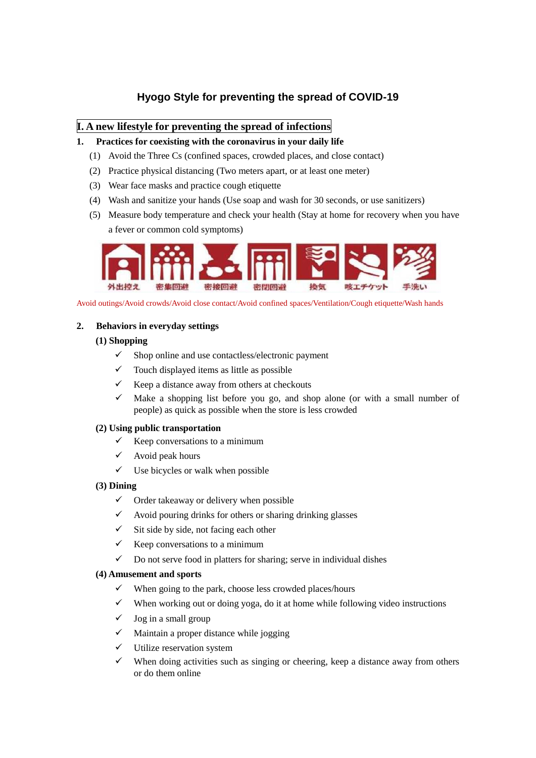# **Hyogo Style for preventing the spread of COVID-19**

# **I. A new lifestyle for preventing the spread of infections**

## **1. Practices for coexisting with the coronavirus in your daily life**

- (1) Avoid the Three Cs (confined spaces, crowded places, and close contact)
- (2) Practice physical distancing (Two meters apart, or at least one meter)
- (3) Wear face masks and practice cough etiquette
- (4) Wash and sanitize your hands (Use soap and wash for 30 seconds, or use sanitizers)
- (5) Measure body temperature and check your health (Stay at home for recovery when you have a fever or common cold symptoms)



Avoid outings/Avoid crowds/Avoid close contact/Avoid confined spaces/Ventilation/Cough etiquette/Wash hands

### **2. Behaviors in everyday settings**

### **(1) Shopping**

- $\checkmark$  Shop online and use contactless/electronic payment
- $\checkmark$  Touch displayed items as little as possible
- Keep a distance away from others at checkouts
- $\checkmark$  Make a shopping list before you go, and shop alone (or with a small number of people) as quick as possible when the store is less crowded

#### **(2) Using public transportation**

- $\checkmark$  Keep conversations to a minimum
- $\checkmark$  Avoid peak hours
- $\checkmark$  Use bicycles or walk when possible

#### **(3) Dining**

- $\checkmark$  Order takeaway or delivery when possible
- Avoid pouring drinks for others or sharing drinking glasses
- $\checkmark$  Sit side by side, not facing each other
- $\checkmark$  Keep conversations to a minimum
- $\checkmark$  Do not serve food in platters for sharing; serve in individual dishes

#### **(4) Amusement and sports**

- $\checkmark$  When going to the park, choose less crowded places/hours
- $\checkmark$  When working out or doing yoga, do it at home while following video instructions
- $\checkmark$  Jog in a small group
- $\checkmark$  Maintain a proper distance while jogging
- $\checkmark$  Utilize reservation system
- $\checkmark$  When doing activities such as singing or cheering, keep a distance away from others or do them online